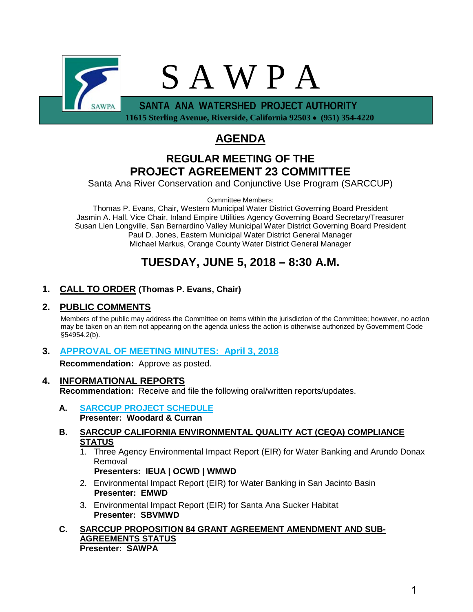

 **11615 Sterling Avenue, Riverside, California 92503** • **(951) 354-4220** 

# **AGENDA**

# **REGULAR MEETING OF THE PROJECT AGREEMENT 23 COMMITTEE**

Santa Ana River Conservation and Conjunctive Use Program (SARCCUP)

Committee Members:

Thomas P. Evans, Chair, Western Municipal Water District Governing Board President Jasmin A. Hall, Vice Chair, Inland Empire Utilities Agency Governing Board Secretary/Treasurer Susan Lien Longville, San Bernardino Valley Municipal Water District Governing Board President Paul D. Jones, Eastern Municipal Water District General Manager Michael Markus, Orange County Water District General Manager

# **TUESDAY, JUNE 5, 2018 – 8:30 A.M.**

# **1. CALL TO ORDER (Thomas P. Evans, Chair)**

# **2. PUBLIC COMMENTS**

Members of the public may address the Committee on items within the jurisdiction of the Committee; however, no action may be taken on an item not appearing on the agenda unless the action is otherwise authorized by Government Code §54954.2(b).

# **3. [APPROVAL OF MEETING MINUTES: April 3, 2018](#page-2-0)**

**Recommendation:** Approve as posted.

#### **4. INFORMATIONAL REPORTS Recommendation:** Receive and file the following oral/written reports/updates.

- **A. [SARCCUP PROJECT SCHEDULE](#page-6-0) Presenter: Woodard & Curran**
- **B. SARCCUP CALIFORNIA ENVIRONMENTAL QUALITY ACT (CEQA) COMPLIANCE STATUS**
	- 1. Three Agency Environmental Impact Report (EIR) for Water Banking and Arundo Donax Removal

**Presenters: IEUA | OCWD | WMWD**

- 2. Environmental Impact Report (EIR) for Water Banking in San Jacinto Basin **Presenter: EMWD**
- 3. Environmental Impact Report (EIR) for Santa Ana Sucker Habitat **Presenter: SBVMWD**
- **C. SARCCUP PROPOSITION 84 GRANT AGREEMENT AMENDMENT AND SUB-AGREEMENTS STATUS Presenter: SAWPA**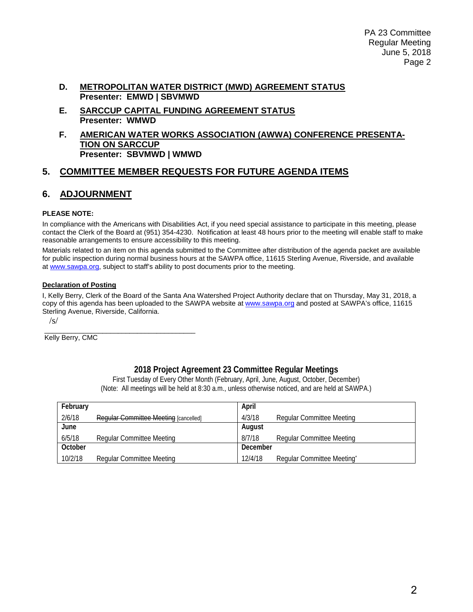- **D. METROPOLITAN WATER DISTRICT (MWD) AGREEMENT STATUS Presenter: EMWD | SBVMWD**
- **E. SARCCUP CAPITAL FUNDING AGREEMENT STATUS Presenter: WMWD**
- **F. AMERICAN WATER WORKS ASSOCIATION (AWWA) CONFERENCE PRESENTA-TION ON SARCCUP Presenter: SBVMWD | WMWD**

# **5. COMMITTEE MEMBER REQUESTS FOR FUTURE AGENDA ITEMS**

# **6. ADJOURNMENT**

#### **PLEASE NOTE:**

In compliance with the Americans with Disabilities Act, if you need special assistance to participate in this meeting, please contact the Clerk of the Board at (951) 354-4230. Notification at least 48 hours prior to the meeting will enable staff to make reasonable arrangements to ensure accessibility to this meeting.

Materials related to an item on this agenda submitted to the Committee after distribution of the agenda packet are available for public inspection during normal business hours at the SAWPA office, 11615 Sterling Avenue, Riverside, and available at [www.sawpa.org,](http://www.sawpa.org/) subject to staff's ability to post documents prior to the meeting.

#### **Declaration of Posting**

I, Kelly Berry, Clerk of the Board of the Santa Ana Watershed Project Authority declare that on Thursday, May 31, 2018, a copy of this agenda has been uploaded to the SAWPA website a[t www.sawpa.org](http://www.sawpa.org/) and posted at SAWPA's office, 11615 Sterling Avenue, Riverside, California.

/s/

\_\_\_\_\_\_\_\_\_\_\_\_\_\_\_\_\_\_\_\_\_\_\_\_\_\_\_\_\_\_\_\_\_\_\_\_\_\_\_ Kelly Berry, CMC

## **2018 Project Agreement 23 Committee Regular Meetings**

First Tuesday of Every Other Month (February, April, June, August, October, December) (Note: All meetings will be held at 8:30 a.m., unless otherwise noticed, and are held at SAWPA.)

| February |                                       | April    |                            |
|----------|---------------------------------------|----------|----------------------------|
| 2/6/18   | Reqular Committee Meeting [cancelled] | 4/3/18   | Regular Committee Meeting  |
| June     |                                       | August   |                            |
| 6/5/18   | Regular Committee Meeting             | 8/7/18   | Regular Committee Meeting  |
| October  |                                       | December |                            |
| 10/2/18  | <b>Regular Committee Meeting</b>      | 12/4/18  | Regular Committee Meeting* |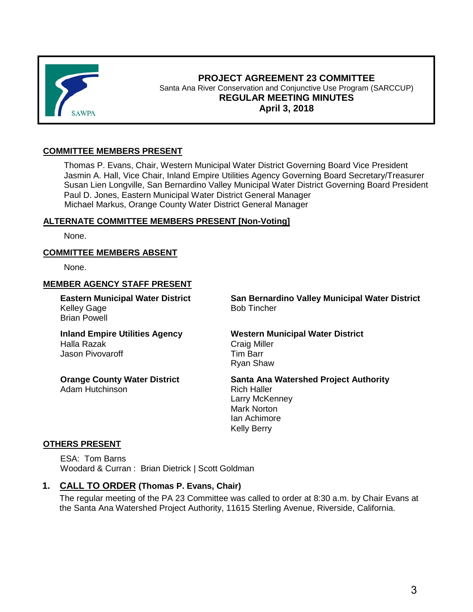<span id="page-2-0"></span>

#### **PROJECT AGREEMENT 23 COMMITTEE** Santa Ana River Conservation and Conjunctive Use Program (SARCCUP) **REGULAR MEETING MINUTES April 3, 2018**

#### **COMMITTEE MEMBERS PRESENT**

Thomas P. Evans, Chair, Western Municipal Water District Governing Board Vice President Jasmin A. Hall, Vice Chair, Inland Empire Utilities Agency Governing Board Secretary/Treasurer Susan Lien Longville, San Bernardino Valley Municipal Water District Governing Board President Paul D. Jones, Eastern Municipal Water District General Manager Michael Markus, Orange County Water District General Manager

#### **ALTERNATE COMMITTEE MEMBERS PRESENT [Non-Voting]**

None.

#### **COMMITTEE MEMBERS ABSENT**

None.

#### **MEMBER AGENCY STAFF PRESENT**

**Eastern Municipal Water District** Kelley Gage Brian Powell

**Inland Empire Utilities Agency** Halla Razak Jason Pivovaroff

**Orange County Water District** Adam Hutchinson

**San Bernardino Valley Municipal Water District** Bob Tincher

#### **Western Municipal Water District** Craig Miller

Tim Barr Ryan Shaw

**Santa Ana Watershed Project Authority**

Rich Haller Larry McKenney Mark Norton Ian Achimore Kelly Berry

#### **OTHERS PRESENT**

ESA: Tom Barns Woodard & Curran : Brian Dietrick | Scott Goldman

## **1. CALL TO ORDER (Thomas P. Evans, Chair)**

The regular meeting of the PA 23 Committee was called to order at 8:30 a.m. by Chair Evans at the Santa Ana Watershed Project Authority, 11615 Sterling Avenue, Riverside, California.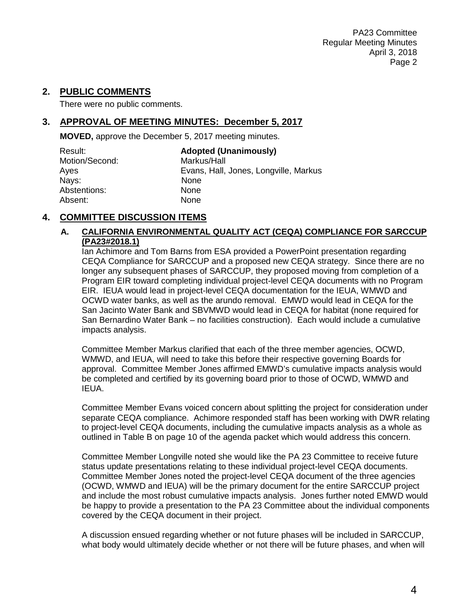## **2. PUBLIC COMMENTS**

There were no public comments.

# **3. APPROVAL OF MEETING MINUTES: December 5, 2017**

**MOVED,** approve the December 5, 2017 meeting minutes.

| Result:        | <b>Adopted (Unanimously)</b>          |
|----------------|---------------------------------------|
| Motion/Second: | Markus/Hall                           |
| Ayes           | Evans, Hall, Jones, Longville, Markus |
| Nays:          | <b>None</b>                           |
| Abstentions:   | None                                  |
| Absent:        | None                                  |

# **4. COMMITTEE DISCUSSION ITEMS**

#### **A. CALIFORNIA ENVIRONMENTAL QUALITY ACT (CEQA) COMPLIANCE FOR SARCCUP (PA23#2018.1)**

Ian Achimore and Tom Barns from ESA provided a PowerPoint presentation regarding CEQA Compliance for SARCCUP and a proposed new CEQA strategy. Since there are no longer any subsequent phases of SARCCUP, they proposed moving from completion of a Program EIR toward completing individual project-level CEQA documents with no Program EIR. IEUA would lead in project-level CEQA documentation for the IEUA, WMWD and OCWD water banks, as well as the arundo removal. EMWD would lead in CEQA for the San Jacinto Water Bank and SBVMWD would lead in CEQA for habitat (none required for San Bernardino Water Bank – no facilities construction). Each would include a cumulative impacts analysis.

Committee Member Markus clarified that each of the three member agencies, OCWD, WMWD, and IEUA, will need to take this before their respective governing Boards for approval. Committee Member Jones affirmed EMWD's cumulative impacts analysis would be completed and certified by its governing board prior to those of OCWD, WMWD and IEUA.

Committee Member Evans voiced concern about splitting the project for consideration under separate CEQA compliance. Achimore responded staff has been working with DWR relating to project-level CEQA documents, including the cumulative impacts analysis as a whole as outlined in Table B on page 10 of the agenda packet which would address this concern.

Committee Member Longville noted she would like the PA 23 Committee to receive future status update presentations relating to these individual project-level CEQA documents. Committee Member Jones noted the project-level CEQA document of the three agencies (OCWD, WMWD and IEUA) will be the primary document for the entire SARCCUP project and include the most robust cumulative impacts analysis. Jones further noted EMWD would be happy to provide a presentation to the PA 23 Committee about the individual components covered by the CEQA document in their project.

A discussion ensued regarding whether or not future phases will be included in SARCCUP, what body would ultimately decide whether or not there will be future phases, and when will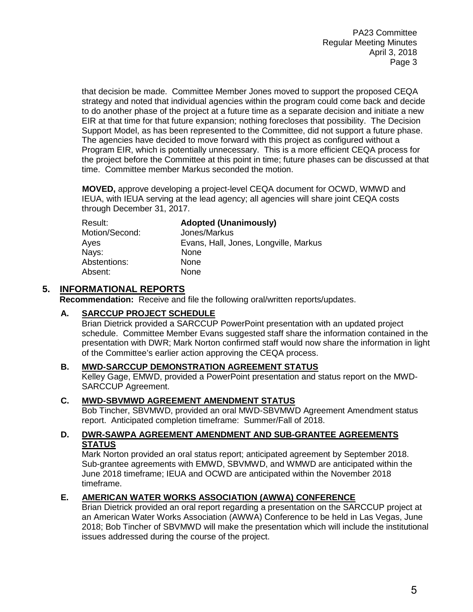that decision be made. Committee Member Jones moved to support the proposed CEQA strategy and noted that individual agencies within the program could come back and decide to do another phase of the project at a future time as a separate decision and initiate a new EIR at that time for that future expansion; nothing forecloses that possibility. The Decision Support Model, as has been represented to the Committee, did not support a future phase. The agencies have decided to move forward with this project as configured without a Program EIR, which is potentially unnecessary. This is a more efficient CEQA process for the project before the Committee at this point in time; future phases can be discussed at that time. Committee member Markus seconded the motion.

**MOVED,** approve developing a project-level CEQA document for OCWD, WMWD and IEUA, with IEUA serving at the lead agency; all agencies will share joint CEQA costs through December 31, 2017.

| Result:        | <b>Adopted (Unanimously)</b>          |
|----------------|---------------------------------------|
| Motion/Second: | Jones/Markus                          |
| Ayes           | Evans, Hall, Jones, Longville, Markus |
| Nays:          | None                                  |
| Abstentions:   | None                                  |
| Absent:        | None                                  |

# **5. INFORMATIONAL REPORTS**

**Recommendation:** Receive and file the following oral/written reports/updates.

#### **A. SARCCUP PROJECT SCHEDULE**

Brian Dietrick provided a SARCCUP PowerPoint presentation with an updated project schedule. Committee Member Evans suggested staff share the information contained in the presentation with DWR; Mark Norton confirmed staff would now share the information in light of the Committee's earlier action approving the CEQA process.

#### **B. MWD-SARCCUP DEMONSTRATION AGREEMENT STATUS**

Kelley Gage, EMWD, provided a PowerPoint presentation and status report on the MWD-SARCCUP Agreement.

#### **C. MWD-SBVMWD AGREEMENT AMENDMENT STATUS**

Bob Tincher, SBVMWD, provided an oral MWD-SBVMWD Agreement Amendment status report. Anticipated completion timeframe: Summer/Fall of 2018.

#### **D. DWR-SAWPA AGREEMENT AMENDMENT AND SUB-GRANTEE AGREEMENTS STATUS**

Mark Norton provided an oral status report; anticipated agreement by September 2018. Sub-grantee agreements with EMWD, SBVMWD, and WMWD are anticipated within the June 2018 timeframe; IEUA and OCWD are anticipated within the November 2018 timeframe.

## **E. AMERICAN WATER WORKS ASSOCIATION (AWWA) CONFERENCE**

Brian Dietrick provided an oral report regarding a presentation on the SARCCUP project at an American Water Works Association (AWWA) Conference to be held in Las Vegas, June 2018; Bob Tincher of SBVMWD will make the presentation which will include the institutional issues addressed during the course of the project.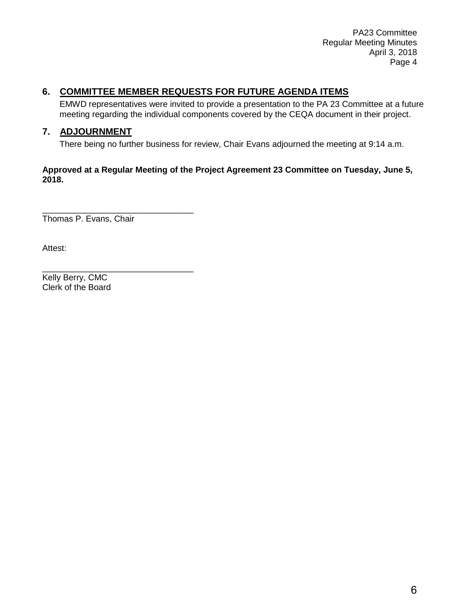PA23 Committee Regular Meeting Minutes April 3, 2018 Page 4

# **6. COMMITTEE MEMBER REQUESTS FOR FUTURE AGENDA ITEMS**

EMWD representatives were invited to provide a presentation to the PA 23 Committee at a future meeting regarding the individual components covered by the CEQA document in their project.

# **7. ADJOURNMENT**

There being no further business for review, Chair Evans adjourned the meeting at 9:14 a.m.

#### **Approved at a Regular Meeting of the Project Agreement 23 Committee on Tuesday, June 5, 2018.**

\_\_\_\_\_\_\_\_\_\_\_\_\_\_\_\_\_\_\_\_\_\_\_\_\_\_\_\_\_\_\_\_ Thomas P. Evans, Chair

\_\_\_\_\_\_\_\_\_\_\_\_\_\_\_\_\_\_\_\_\_\_\_\_\_\_\_\_\_\_\_\_

Attest:

Kelly Berry, CMC Clerk of the Board